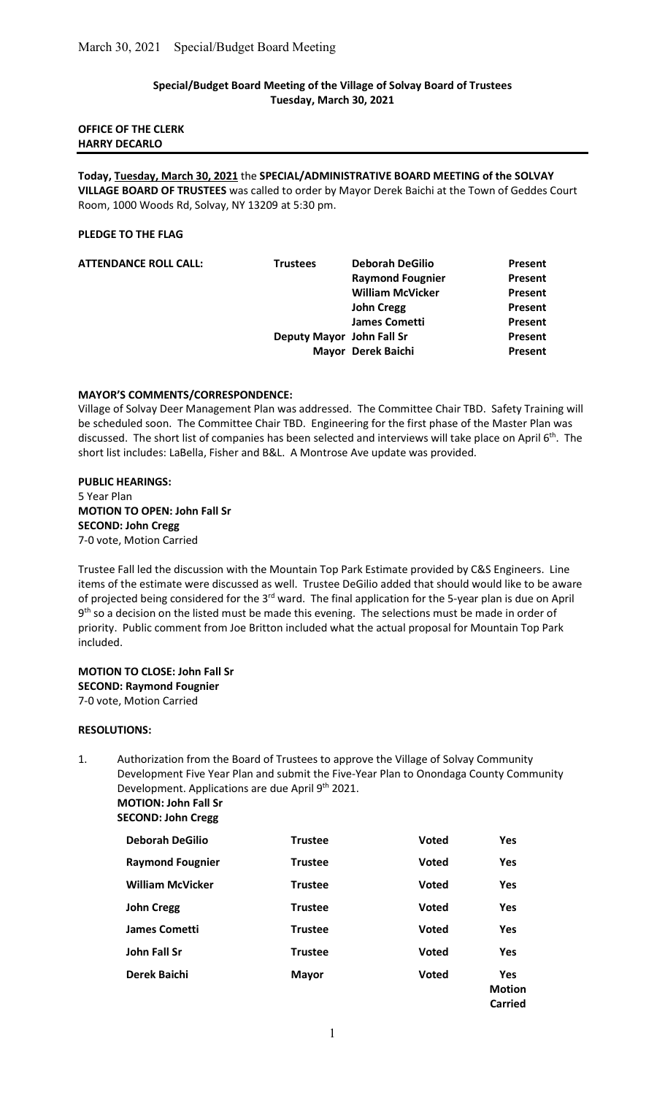## Special/Budget Board Meeting of the Village of Solvay Board of Trustees Tuesday, March 30, 2021

### OFFICE OF THE CLERK HARRY DECARLO

Today, Tuesday, March 30, 2021 the SPECIAL/ADMINISTRATIVE BOARD MEETING of the SOLVAY VILLAGE BOARD OF TRUSTEES was called to order by Mayor Derek Baichi at the Town of Geddes Court Room, 1000 Woods Rd, Solvay, NY 13209 at 5:30 pm.

### PLEDGE TO THE FLAG

| <b>ATTENDANCE ROLL CALL:</b> | <b>Trustees</b>           | <b>Deborah DeGilio</b>  | Present |
|------------------------------|---------------------------|-------------------------|---------|
|                              |                           | <b>Raymond Fougnier</b> | Present |
|                              |                           | <b>William McVicker</b> | Present |
|                              |                           | <b>John Cregg</b>       | Present |
|                              |                           | <b>James Cometti</b>    | Present |
|                              | Deputy Mayor John Fall Sr |                         | Present |
|                              |                           | Mayor Derek Baichi      | Present |
|                              |                           |                         |         |

## MAYOR'S COMMENTS/CORRESPONDENCE:

Village of Solvay Deer Management Plan was addressed. The Committee Chair TBD. Safety Training will be scheduled soon. The Committee Chair TBD. Engineering for the first phase of the Master Plan was discussed. The short list of companies has been selected and interviews will take place on April 6<sup>th</sup>. The short list includes: LaBella, Fisher and B&L. A Montrose Ave update was provided.

PUBLIC HEARINGS: 5 Year Plan MOTION TO OPEN: John Fall Sr SECOND: John Cregg 7-0 vote, Motion Carried

Trustee Fall led the discussion with the Mountain Top Park Estimate provided by C&S Engineers. Line items of the estimate were discussed as well. Trustee DeGilio added that should would like to be aware of projected being considered for the 3<sup>rd</sup> ward. The final application for the 5-year plan is due on April 9<sup>th</sup> so a decision on the listed must be made this evening. The selections must be made in order of priority. Public comment from Joe Britton included what the actual proposal for Mountain Top Park included.

MOTION TO CLOSE: John Fall Sr SECOND: Raymond Fougnier 7-0 vote, Motion Carried

### RESOLUTIONS:

1. Authorization from the Board of Trustees to approve the Village of Solvay Community Development Five Year Plan and submit the Five-Year Plan to Onondaga County Community Development. Applications are due April 9th 2021. MOTION: John Fall Sr

SECOND: John Cregg

| <b>Deborah DeGilio</b>  | <b>Trustee</b> | <b>Voted</b> | <b>Yes</b>                             |
|-------------------------|----------------|--------------|----------------------------------------|
| <b>Raymond Fougnier</b> | <b>Trustee</b> | <b>Voted</b> | <b>Yes</b>                             |
| <b>William McVicker</b> | <b>Trustee</b> | <b>Voted</b> | <b>Yes</b>                             |
| <b>John Cregg</b>       | <b>Trustee</b> | <b>Voted</b> | <b>Yes</b>                             |
| <b>James Cometti</b>    | <b>Trustee</b> | <b>Voted</b> | <b>Yes</b>                             |
| <b>John Fall Sr</b>     | <b>Trustee</b> | <b>Voted</b> | <b>Yes</b>                             |
| <b>Derek Baichi</b>     | <b>Mayor</b>   | <b>Voted</b> | <b>Yes</b><br><b>Motion</b><br>Carried |